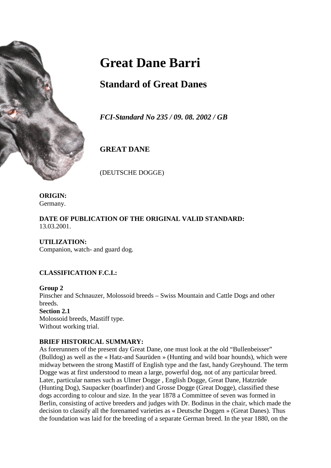

# **Great Dane Barri**

# **Standard of Great Danes**

*FCI-Standard No 235 / 09. 08. 2002 / GB*

# **GREAT DANE**

(DEUTSCHE DOGGE)

**ORIGIN:** Germany.

**DATE OF PUBLICATION OF THE ORIGINAL VALID STANDARD:** 13.03.2001.

**UTILIZATION:** Companion, watch- and guard dog.

# **CLASSIFICATION F.C.I.:**

#### **Group 2**

Pinscher and Schnauzer, Molossoid breeds – Swiss Mountain and Cattle Dogs and other breeds.

**Section 2.1** Molossoid breeds, Mastiff type. Without working trial.

# **BRIEF HISTORICAL SUMMARY:**

As forerunners of the present day Great Dane, one must look at the old "Bullenbeisser" (Bulldog) as well as the « Hatz-and Saurüden » (Hunting and wild boar hounds), which were midway between the strong Mastiff of English type and the fast, handy Greyhound. The term Dogge was at first understood to mean a large, powerful dog, not of any particular breed. Later, particular names such as Ulmer Dogge , English Dogge, Great Dane, Hatzrüde (Hunting Dog), Saupacker (boarfinder) and Grosse Dogge (Great Dogge), classified these dogs according to colour and size. In the year 1878 a Committee of seven was formed in Berlin, consisting of active breeders and judges with Dr. Bodinus in the chair, which made the decision to classify all the forenamed varieties as « Deutsche Doggen » (Great Danes). Thus the foundation was laid for the breeding of a separate German breed. In the year 1880, on the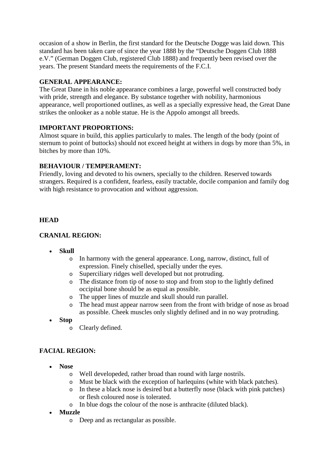occasion of a show in Berlin, the first standard for the Deutsche Dogge was laid down. This standard has been taken care of since the year 1888 by the "Deutsche Doggen Club 1888 e.V." (German Doggen Club, registered Club 1888) and frequently been revised over the years. The present Standard meets the requirements of the F.C.I.

#### **GENERAL APPEARANCE:**

The Great Dane in his noble appearance combines a large, powerful well constructed body with pride, strength and elegance. By substance together with nobility, harmonious appearance, well proportioned outlines, as well as a specially expressive head, the Great Dane strikes the onlooker as a noble statue. He is the Appolo amongst all breeds.

#### **IMPORTANT PROPORTIONS:**

Almost square in build, this applies particularly to males. The length of the body (point of sternum to point of buttocks) should not exceed height at withers in dogs by more than 5%, in bitches by more than 10%.

#### **BEHAVIOUR / TEMPERAMENT:**

Friendly, loving and devoted to his owners, specially to the children. Reserved towards strangers. Required is a confident, fearless, easily tractable, docile companion and family dog with high resistance to provocation and without aggression.

#### **HEAD**

# **CRANIAL REGION:**

- **Skull**
	- o In harmony with the general appearance. Long, narrow, distinct, full of expression. Finely chiselled, specially under the eyes.
	- o Superciliary ridges well developed but not protruding.
	- o The distance from tip of nose to stop and from stop to the lightly defined occipital bone should be as equal as possible.
	- o The upper lines of muzzle and skull should run parallel.
	- o The head must appear narrow seen from the front with bridge of nose as broad as possible. Cheek muscles only slightly defined and in no way protruding.
- **Stop**
	- o Clearly defined.

# **FACIAL REGION:**

- **Nose**
	- o Well developeded, rather broad than round with large nostrils.
	- o Must be black with the exception of harlequins (white with black patches).
	- o In these a black nose is desired but a butterfly nose (black with pink patches) or flesh coloured nose is tolerated.
	- o In blue dogs the colour of the nose is anthracite (diluted black).
- **Muzzle**
	- o Deep and as rectangular as possible.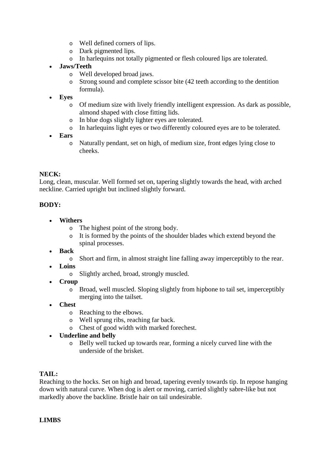- o Well defined corners of lips.
- o Dark pigmented lips.
- o In harlequins not totally pigmented or flesh coloured lips are tolerated.
- **Jaws/Teeth**
	- o Well developed broad jaws.
	- o Strong sound and complete scissor bite (42 teeth according to the dentition formula).
- **Eyes**
	- o Of medium size with lively friendly intelligent expression. As dark as possible, almond shaped with close fitting lids.
	- o In blue dogs slightly lighter eyes are tolerated.
	- o In harlequins light eyes or two differently coloured eyes are to be tolerated.
- **Ears**
	- o Naturally pendant, set on high, of medium size, front edges lying close to cheeks.

# **NECK:**

Long, clean, muscular. Well formed set on, tapering slightly towards the head, with arched neckline. Carried upright but inclined slightly forward.

# **BODY:**

- **Withers**
	- o The highest point of the strong body.
	- o It is formed by the points of the shoulder blades which extend beyond the spinal processes.
- **Back**
	- o Short and firm, in almost straight line falling away imperceptibly to the rear.
- **Loins**
	- o Slightly arched, broad, strongly muscled.
- **Croup**
	- $\circ$  Broad, well muscled. Sloping slightly from hipbone to tail set, imperceptibly merging into the tailset.
- **Chest**
	- o Reaching to the elbows.
	- o Well sprung ribs, reaching far back.
	- o Chest of good width with marked forechest.
- **Underline and belly**
	- o Belly well tucked up towards rear, forming a nicely curved line with the underside of the brisket.

# **TAIL:**

Reaching to the hocks. Set on high and broad, tapering evenly towards tip. In repose hanging down with natural curve. When dog is alert or moving, carried slightly sabre-like but not markedly above the backline. Bristle hair on tail undesirable.

# **LIMBS**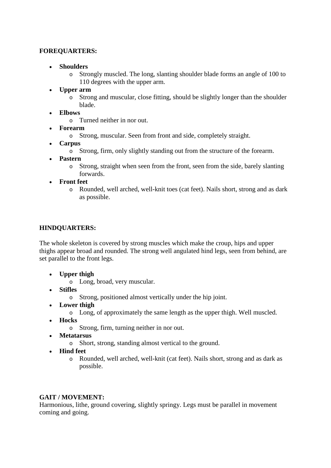#### **FOREQUARTERS:**

- **Shoulders**
	- o Strongly muscled. The long, slanting shoulder blade forms an angle of 100 to 110 degrees with the upper arm.
- **Upper arm**
	- o Strong and muscular, close fitting, should be slightly longer than the shoulder blade.
- **Elbows**
	- o Turned neither in nor out.
- **Forearm**
	- o Strong, muscular. Seen from front and side, completely straight.
- **Carpus**
	- o Strong, firm, only slightly standing out from the structure of the forearm.
- **Pastern**
	- o Strong, straight when seen from the front, seen from the side, barely slanting forwards.
- **Front feet**
	- o Rounded, well arched, well-knit toes (cat feet). Nails short, strong and as dark as possible.

#### **HINDQUARTERS:**

The whole skeleton is covered by strong muscles which make the croup, hips and upper thighs appear broad and rounded. The strong well angulated hind legs, seen from behind, are set parallel to the front legs.

- **Upper thigh**
	- o Long, broad, very muscular.
- **Stifles**
	- o Strong, positioned almost vertically under the hip joint.
- **Lower thigh**
	- o Long, of approximately the same length as the upper thigh. Well muscled.
- **Hocks**
	- o Strong, firm, turning neither in nor out.
- **Metatarsus**
	- o Short, strong, standing almost vertical to the ground.
- **Hind feet**
	- o Rounded, well arched, well-knit (cat feet). Nails short, strong and as dark as possible.

#### **GAIT / MOVEMENT:**

Harmonious, lithe, ground covering, slightly springy. Legs must be parallel in movement coming and going.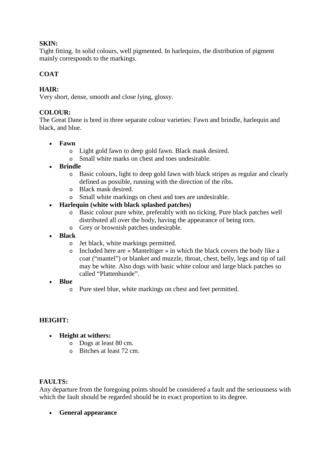#### **SKIN:**

Tight fitting. In solid colours, well pigmented. In harlequins, the distribution of pigment mainly corresponds to the markings.

#### **COAT**

#### **HAIR:**

Very short, dense, smooth and close lying, glossy.

#### **COLOUR:**

The Great Dane is bred in three separate colour varieties: Fawn and brindle, harlequin and black, and blue.

- **Fawn**
	- o Light gold fawn to deep gold fawn. Black mask desired.
	- o Small white marks on chest and toes undesirable.
- **Brindle**
	- o Basic colours, light to deep gold fawn with black stripes as regular and clearly defined as possible, running with the direction of the ribs.
	- o Black mask desired.
	- o Small white markings on chest and toes are undesirable.
- **Harlequin (white with black splashed patches)**
	- o Basic colour pure white, preferably with no ticking. Pure black patches well distributed all over the body, having the appearance of being torn.
	- o Grey or brownish patches undesirable.
- **Black**
	- o Jet black, white markings permitted.
	- o Included here are « Manteltiger » in which the black covers the body like a coat ("mantel") or blanket and muzzle, throat, chest, belly, legs and tip of tail may be white. Also dogs with basic white colour and large black patches so called "Plattenhunde".
- **Blue**
	- o Pure steel blue, white markings on chest and feet permitted.

#### **HEIGHT:**

- **Height at withers:**
	- o Dogs at least 80 cm.
	- o Bitches at least 72 cm.

#### **FAULTS:**

Any departure from the foregoing points should be considered a fault and the seriousness with which the fault should be regarded should be in exact proportion to its degree.

• **General appearance**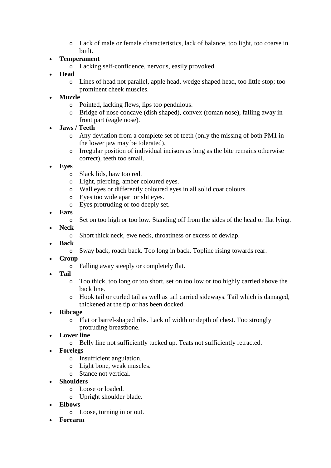- o Lack of male or female characteristics, lack of balance, too light, too coarse in built.
- **Temperament**
	- o Lacking self-confidence, nervous, easily provoked.
- **Head**
	- o Lines of head not parallel, apple head, wedge shaped head, too little stop; too prominent cheek muscles.
- **Muzzle**
	- o Pointed, lacking flews, lips too pendulous.
	- o Bridge of nose concave (dish shaped), convex (roman nose), falling away in front part (eagle nose).
- **Jaws / Teeth**
	- o Any deviation from a complete set of teeth (only the missing of both PM1 in the lower jaw may be tolerated).
	- o Irregular position of individual incisors as long as the bite remains otherwise correct), teeth too small.
- **Eyes**
	- o Slack lids, haw too red.
	- o Light, piercing, amber coloured eyes.
	- o Wall eyes or differently coloured eyes in all solid coat colours.
	- o Eyes too wide apart or slit eyes.
	- o Eyes protruding or too deeply set.
- **Ears**
	- o Set on too high or too low. Standing off from the sides of the head or flat lying.
- **Neck**
	- o Short thick neck, ewe neck, throatiness or excess of dewlap.
- **Back**
	- o Sway back, roach back. Too long in back. Topline rising towards rear.
- **Croup**
	- o Falling away steeply or completely flat.
- **Tail**
	- o Too thick, too long or too short, set on too low or too highly carried above the back line.
	- o Hook tail or curled tail as well as tail carried sideways. Tail which is damaged, thickened at the tip or has been docked.
- **Ribcage**
	- o Flat or barrel-shaped ribs. Lack of width or depth of chest. Too strongly protruding breastbone.
- **Lower line**
	- o Belly line not sufficiently tucked up. Teats not sufficiently retracted.
- **Forelegs**
	- o Insufficient angulation.
	- o Light bone, weak muscles.
	- o Stance not vertical.
- **Shoulders**
	- o Loose or loaded.
	- o Upright shoulder blade.
- **Elbows**
	- o Loose, turning in or out.
- **Forearm**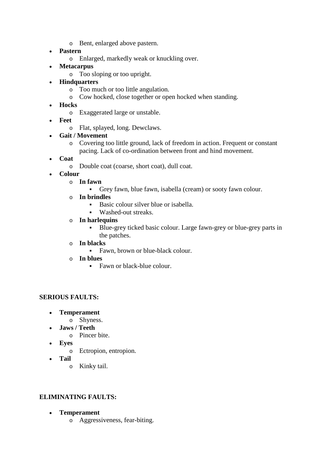- o Bent, enlarged above pastern.
- **Pastern**
	- o Enlarged, markedly weak or knuckling over.
- **Metacarpus**
	- o Too sloping or too upright.
- **Hindquarters**
	- o Too much or too little angulation.
	- o Cow hocked, close together or open hocked when standing.
- **Hocks**
	- o Exaggerated large or unstable.
- **Feet**
	- o Flat, splayed, long. Dewclaws.
- **Gait / Movement**
	- o Covering too little ground, lack of freedom in action. Frequent or constant pacing. Lack of co-ordination between front and hind movement.
- **Coat**
	- o Double coat (coarse, short coat), dull coat.
- **Colour**
	- o **In fawn**
		- Grey fawn, blue fawn, isabella (cream) or sooty fawn colour.
	- o **In brindles**
		- Basic colour silver blue or isabella.
		- Washed-out streaks.
	- o **In harlequins**
		- Blue-grey ticked basic colour. Large fawn-grey or blue-grey parts in the patches.
	- o **In blacks**
		- Fawn, brown or blue-black colour.
	- o **In blues**
		- Fawn or black-blue colour.

# **SERIOUS FAULTS:**

- **Temperament**
	- o Shyness.
- **Jaws / Teeth**
	- o Pincer bite.
- **Eyes**
	- o Ectropion, entropion.
- **Tail**
	- o Kinky tail.

#### **ELIMINATING FAULTS:**

- **Temperament**
	- o Aggressiveness, fear-biting.